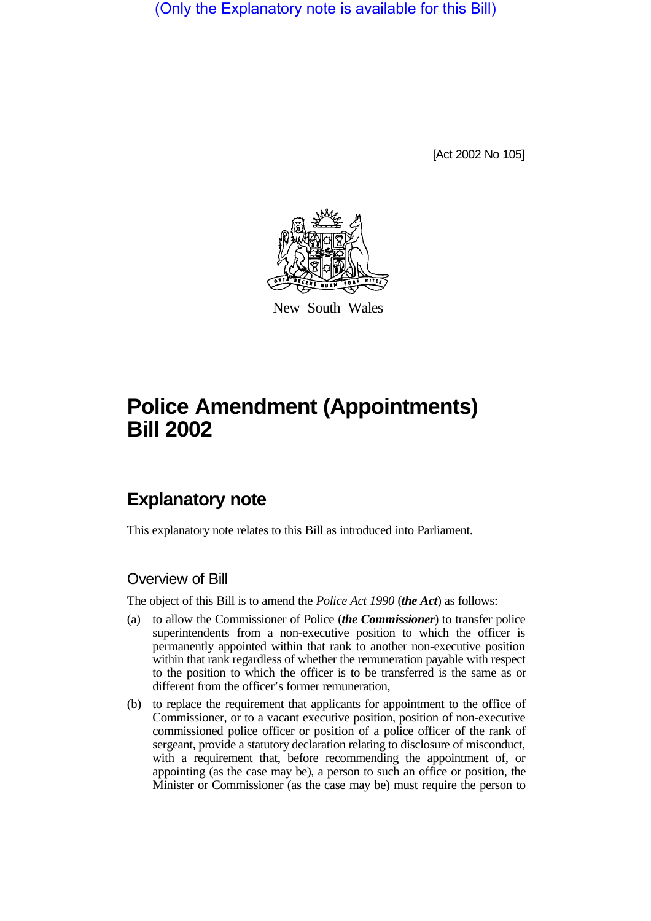(Only the Explanatory note is available for this Bill)

[Act 2002 No 105]



New South Wales

# **Police Amendment (Appointments) Bill 2002**

# **Explanatory note**

This explanatory note relates to this Bill as introduced into Parliament.

### Overview of Bill

The object of this Bill is to amend the *Police Act 1990* (*the Act*) as follows:

- (a) to allow the Commissioner of Police (*the Commissioner*) to transfer police superintendents from a non-executive position to which the officer is permanently appointed within that rank to another non-executive position within that rank regardless of whether the remuneration payable with respect to the position to which the officer is to be transferred is the same as or different from the officer's former remuneration,
- (b) to replace the requirement that applicants for appointment to the office of Commissioner, or to a vacant executive position, position of non-executive commissioned police officer or position of a police officer of the rank of sergeant, provide a statutory declaration relating to disclosure of misconduct, with a requirement that, before recommending the appointment of, or appointing (as the case may be), a person to such an office or position, the Minister or Commissioner (as the case may be) must require the person to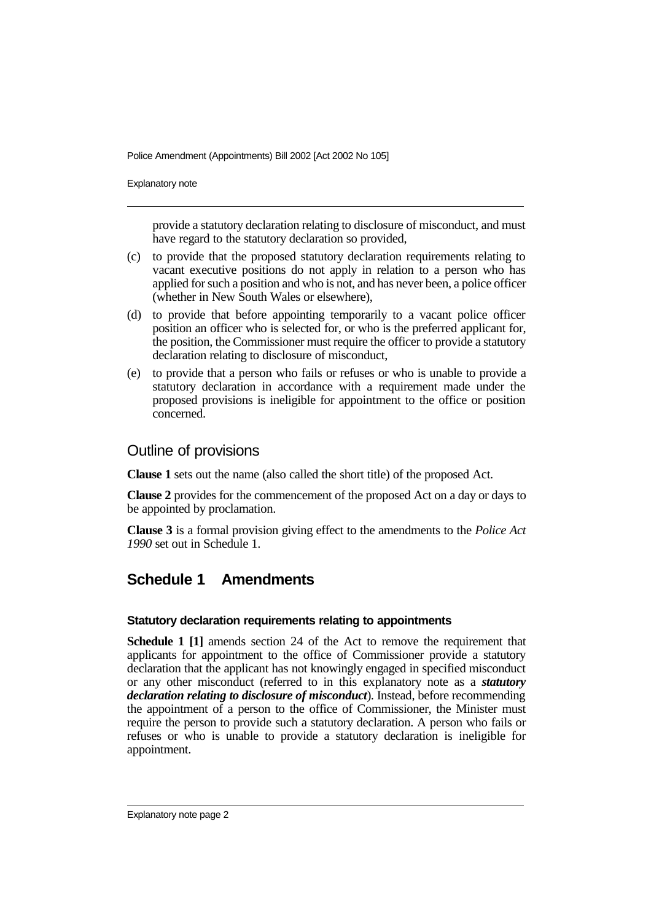Police Amendment (Appointments) Bill 2002 [Act 2002 No 105]

Explanatory note

provide a statutory declaration relating to disclosure of misconduct, and must have regard to the statutory declaration so provided,

- (c) to provide that the proposed statutory declaration requirements relating to vacant executive positions do not apply in relation to a person who has applied for such a position and who is not, and has never been, a police officer (whether in New South Wales or elsewhere),
- (d) to provide that before appointing temporarily to a vacant police officer position an officer who is selected for, or who is the preferred applicant for, the position, the Commissioner must require the officer to provide a statutory declaration relating to disclosure of misconduct,
- (e) to provide that a person who fails or refuses or who is unable to provide a statutory declaration in accordance with a requirement made under the proposed provisions is ineligible for appointment to the office or position concerned.

### Outline of provisions

**Clause 1** sets out the name (also called the short title) of the proposed Act.

**Clause 2** provides for the commencement of the proposed Act on a day or days to be appointed by proclamation.

**Clause 3** is a formal provision giving effect to the amendments to the *Police Act 1990* set out in Schedule 1.

## **Schedule 1 Amendments**

### **Statutory declaration requirements relating to appointments**

**Schedule 1 [1]** amends section 24 of the Act to remove the requirement that applicants for appointment to the office of Commissioner provide a statutory declaration that the applicant has not knowingly engaged in specified misconduct or any other misconduct (referred to in this explanatory note as a *statutory declaration relating to disclosure of misconduct*). Instead, before recommending the appointment of a person to the office of Commissioner, the Minister must require the person to provide such a statutory declaration. A person who fails or refuses or who is unable to provide a statutory declaration is ineligible for appointment.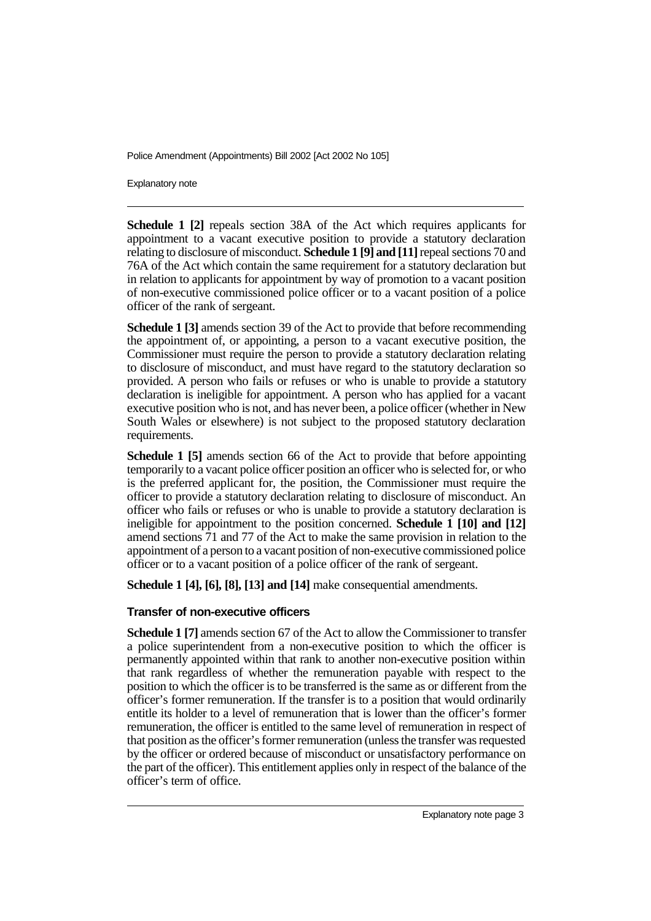Police Amendment (Appointments) Bill 2002 [Act 2002 No 105]

Explanatory note

**Schedule 1 [2]** repeals section 38A of the Act which requires applicants for appointment to a vacant executive position to provide a statutory declaration relating to disclosure of misconduct. **Schedule 1 [9] and [11]**repeal sections 70 and 76A of the Act which contain the same requirement for a statutory declaration but in relation to applicants for appointment by way of promotion to a vacant position of non-executive commissioned police officer or to a vacant position of a police officer of the rank of sergeant.

**Schedule 1 [3]** amends section 39 of the Act to provide that before recommending the appointment of, or appointing, a person to a vacant executive position, the Commissioner must require the person to provide a statutory declaration relating to disclosure of misconduct, and must have regard to the statutory declaration so provided. A person who fails or refuses or who is unable to provide a statutory declaration is ineligible for appointment. A person who has applied for a vacant executive position who is not, and has never been, a police officer (whether in New South Wales or elsewhere) is not subject to the proposed statutory declaration requirements.

**Schedule 1 [5]** amends section 66 of the Act to provide that before appointing temporarily to a vacant police officer position an officer who is selected for, or who is the preferred applicant for, the position, the Commissioner must require the officer to provide a statutory declaration relating to disclosure of misconduct. An officer who fails or refuses or who is unable to provide a statutory declaration is ineligible for appointment to the position concerned. **Schedule 1 [10] and [12]** amend sections 71 and 77 of the Act to make the same provision in relation to the appointment of a person to a vacant position of non-executive commissioned police officer or to a vacant position of a police officer of the rank of sergeant.

**Schedule 1 [4], [6], [8], [13] and [14]** make consequential amendments.

### **Transfer of non-executive officers**

**Schedule 1 [7]** amends section 67 of the Act to allow the Commissioner to transfer a police superintendent from a non-executive position to which the officer is permanently appointed within that rank to another non-executive position within that rank regardless of whether the remuneration payable with respect to the position to which the officer is to be transferred is the same as or different from the officer's former remuneration. If the transfer is to a position that would ordinarily entitle its holder to a level of remuneration that is lower than the officer's former remuneration, the officer is entitled to the same level of remuneration in respect of that position as the officer's former remuneration (unless the transfer was requested by the officer or ordered because of misconduct or unsatisfactory performance on the part of the officer). This entitlement applies only in respect of the balance of the officer's term of office.